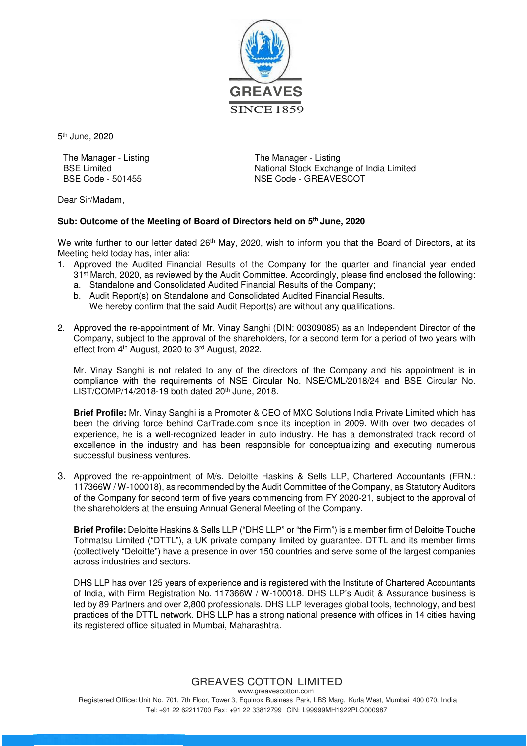

5<sup>th</sup> June, 2020

The Manager - Listing The Manager - Listing

BSE Limited<br>BSE Code - 501455<br>
NSE Code - GREAVESCOT<br>
NSE Code - GREAVESCOT NSE Code - GREAVESCOT

Dear Sir/Madam,

#### **Sub: Outcome of the Meeting of Board of Directors held on 5th June, 2020**

We write further to our letter dated 26<sup>th</sup> May, 2020, wish to inform you that the Board of Directors, at its Meeting held today has, inter alia:

- 1. Approved the Audited Financial Results of the Company for the quarter and financial year ended 31<sup>st</sup> March, 2020, as reviewed by the Audit Committee. Accordingly, please find enclosed the following:
	- a. Standalone and Consolidated Audited Financial Results of the Company;
	- b. Audit Report(s) on Standalone and Consolidated Audited Financial Results. We hereby confirm that the said Audit Report(s) are without any qualifications.
- 2. Approved the re-appointment of Mr. Vinay Sanghi (DIN: 00309085) as an Independent Director of the Company, subject to the approval of the shareholders, for a second term for a period of two years with effect from 4th August, 2020 to 3rd August, 2022.

Mr. Vinay Sanghi is not related to any of the directors of the Company and his appointment is in compliance with the requirements of NSE Circular No. NSE/CML/2018/24 and BSE Circular No.  $LIST/COMP/14/2018-19$  both dated  $20<sup>th</sup>$  June, 2018.

**Brief Profile:** Mr. Vinay Sanghi is a Promoter & CEO of MXC Solutions India Private Limited which has been the driving force behind CarTrade.com since its inception in 2009. With over two decades of experience, he is a well-recognized leader in auto industry. He has a demonstrated track record of excellence in the industry and has been responsible for conceptualizing and executing numerous successful business ventures.

3. Approved the re-appointment of M/s. Deloitte Haskins & Sells LLP, Chartered Accountants (FRN.: 117366W / W-100018), as recommended by the Audit Committee of the Company, as Statutory Auditors of the Company for second term of five years commencing from FY 2020-21, subject to the approval of the shareholders at the ensuing Annual General Meeting of the Company.

**Brief Profile:** Deloitte Haskins & Sells LLP ("DHS LLP" or "the Firm") is a member firm of Deloitte Touche Tohmatsu Limited ("DTTL"), a UK private company limited by guarantee. DTTL and its member firms (collectively "Deloitte") have a presence in over 150 countries and serve some of the largest companies across industries and sectors.

DHS LLP has over 125 years of experience and is registered with the Institute of Chartered Accountants of India, with Firm Registration No. 117366W / W-100018. DHS LLP's Audit & Assurance business is led by 89 Partners and over 2,800 professionals. DHS LLP leverages global tools, technology, and best practices of the DTTL network. DHS LLP has a strong national presence with offices in 14 cities having its registered office situated in Mumbai, Maharashtra.

#### GREAVES COTTON LIMITED www.greavescotton.com

Registered Office: Unit No. 701, 7th Floor, Tower 3, Equinox Business Park, LBS Marg, Kurla West, Mumbai 400 070, India Tel: +91 22 62211700 Fax: +91 22 33812799 CIN: L99999MH1922PLC000987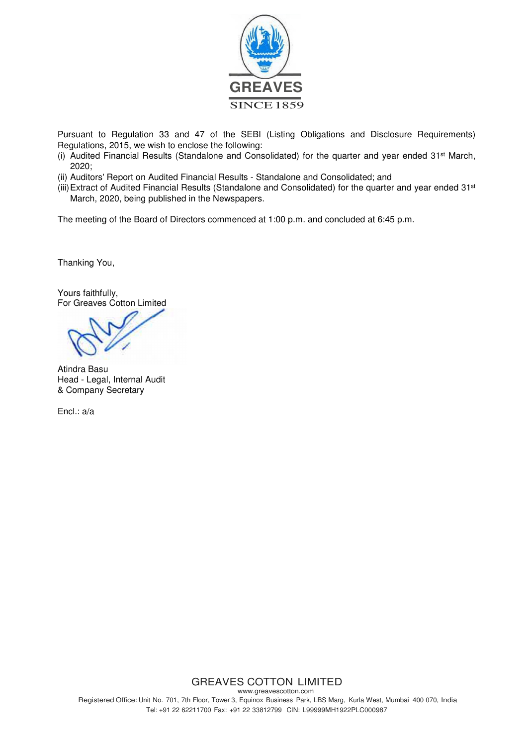

Pursuant to Regulation 33 and 47 of the SEBI (Listing Obligations and Disclosure Requirements) Regulations, 2015, we wish to enclose the following:

- (i) Audited Financial Results (Standalone and Consolidated) for the quarter and year ended 31st March, 2020;
- (ii) Auditors' Report on Audited Financial Results Standalone and Consolidated; and
- (iii) Extract of Audited Financial Results (Standalone and Consolidated) for the quarter and year ended 31<sup>st</sup> March, 2020, being published in the Newspapers.

The meeting of the Board of Directors commenced at 1:00 p.m. and concluded at 6:45 p.m.

Thanking You,

Yours faithfully, For Greaves Cotton Limited

Atindra Basu Head - Legal, Internal Audit & Company Secretary

Encl.: a/a

#### GREAVES COTTON LIMITED www.greavescotton.com Registered Office: Unit No. 701, 7th Floor, Tower 3, Equinox Business Park, LBS Marg, Kurla West, Mumbai 400 070, India Tel: +91 22 62211700 Fax: +91 22 33812799 CIN: L99999MH1922PLC000987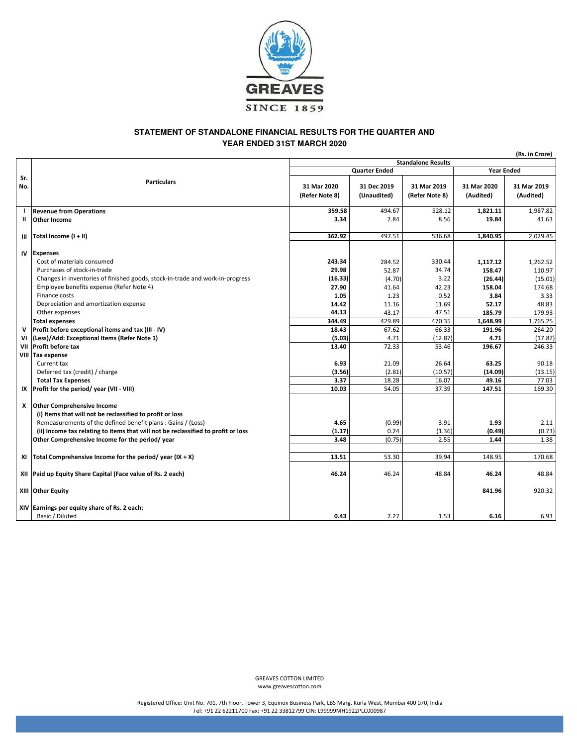

#### **YEAR ENDED 31ST MARCH 2020 STATEMENT OF STANDALONE FINANCIAL RESULTS FOR THE QUARTER AND**

(Rs. in Crore) 31 Mar 2020 (Refer Note 8) 31 Dec 2019 (Unaudited) 31 Mar 2019 (Refer Note 8) 31 Mar 2020 (Audited) 31 Mar 2019 (Audited) I Revenue from Operations 2.6 (1992) 359.58 494.67 359.58 494.67 528.12 1,821.11 1,987.82 1,821.11 1,987.82 II Other Income 3.34 2.84 8.56 19.84 41.63 III |Total Income (I + II) 362.92 | 497.51 | 536.68 | 1,840.95 | 2,029.45 IV Expenses Cost of materials consumed 263.52 203.34 284.52 330.44 284.52 330.44 1,117.12 1,262.52 Purchases of stock-in-trade 29.98 29.98 52.87 34.74 158.47 110.97 Changes in inventories of finished goods, stock-in-trade and work-in-progress (16.33) (16.33) (4.70) 3.22 (26.44) (15.01) Employee benefits expense (Refer Note 4) 27.90 27.90 41.64 42.23 158.04 174.68 Finance costs **1.05 1.05 1.05 1.23 1.23 1.23 1.23 1.23 1.23 1.23 1.23 1.23 1.23 1.23 1.23 1.23 1.23 1.23 1.23 1.23 1.23 1.23 1.23 1.23 1.23 1.23 1.23 1.23 1.23 1.2** Depreciation and amortization expense 14.83 Other expenses 44.13 43.17 47.51 185.79 179.93 Total expenses 344.49 429.89 470.35 1,648.99 1,765.25 V Profit before exceptional items and tax (III - IV) 18.43 67.62 66.33 191.96 264.20 VI  $\vert$  (Less)/Add: Exceptional Items (Refer Note 1) (17.87) (17.87) 4.71 (17.87) 4.71 (17.87) 4.71 (17.87) VII Profit before tax 13.40 | 72.33 | 53.46 | 196.67 | 246.33 VIII Tax expense Current tax 6.93 21.09 26.64 63.25 90.18 Deferred tax (credit) / charge (3.56) (2.81) (10.57) (14.09) (13.15) Total Tax Expenses 3.37 | 18.28 | 16.07 | 49.16 | 77.03 IX Profit for the period/ year (VII - VIII) 10.03 10.03 54.05 54.05 37.39 147.51 169.30 X Other Comprehensive Income (i) Items that will not be reclassified to profit or loss Remeasurements of the defined benefit plans : Gains / (Loss) 4.65 (0.99) 3.91 1.93 2.11 (ii) Income tax relating to items that will not be reclassified to profit or loss  $(1.17)$   $(1.17)$   $(0.24$   $(1.36)$   $(0.49)$   $(0.73)$ Other Comprehensive Income for the period/ year 3.38 (0.75) 3.48 (0.75) 3.48 1.38 XI | Total Comprehensive Income for the period/ year (IX + X) 13.51 13.51 13.51 13.51 53.30 39.94 148.95 170.68 XII |Paid up Equity Share Capital (Face value of Rs. 2 each) 46.84 46.24 46.24 46.24 46.24 46.24 46.24 46.24 46.24 46.24 46.24 46.24 46.24 46.24 46.24 46.24 46.24 46.24 46.24 48.84 46.24 48.84 46.24 46.24 46.24 48.84 46.24 XIII Other Equity 841.96 920.32 XIV Earnings per equity share of Rs. 2 each: Basic / Diluted 0.43 2.27 1.53 6.16 6.93 Quarter Ended **Sr.** Particulars **Particulars** No. Standalone Results Year Ended

> GREAVES COTTON LIMITED www.greavescotton.com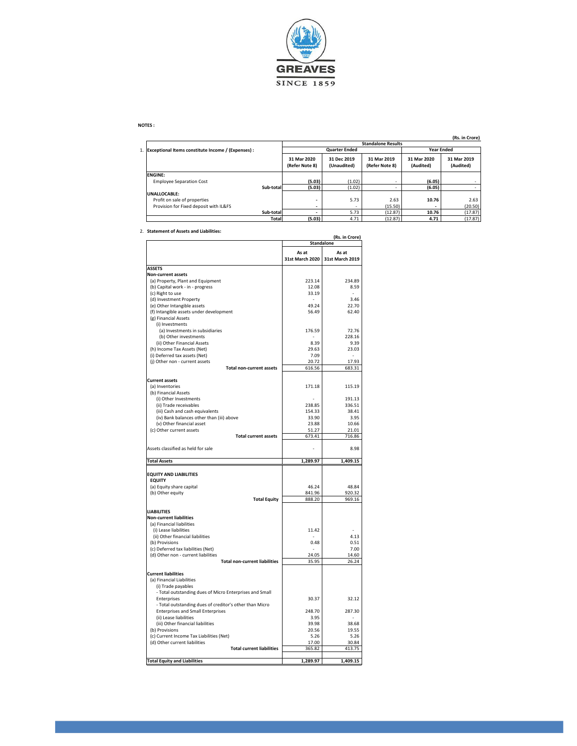

#### NOTES :

#### (Rs. in Crore)

|                                                       |                               |                            |                               |                          | ,                        |  |  |
|-------------------------------------------------------|-------------------------------|----------------------------|-------------------------------|--------------------------|--------------------------|--|--|
|                                                       | <b>Standalone Results</b>     |                            |                               |                          |                          |  |  |
| 1. Exceptional Items constitute Income / (Expenses) : |                               | <b>Quarter Ended</b>       | <b>Year Ended</b>             |                          |                          |  |  |
|                                                       | 31 Mar 2020<br>(Refer Note 8) | 31 Dec 2019<br>(Unaudited) | 31 Mar 2019<br>(Refer Note 8) | 31 Mar 2020<br>(Audited) | 31 Mar 2019<br>(Audited) |  |  |
| <b>ENGINE:</b>                                        |                               |                            |                               |                          |                          |  |  |
| <b>Employee Separation Cost</b>                       | (5.03)                        | (1.02)                     |                               | (6.05)                   |                          |  |  |
| Sub-total                                             | (5.03)                        | (1.02)                     | ۰                             | (6.05)                   |                          |  |  |
| UNALLOCABLE:                                          |                               |                            |                               |                          |                          |  |  |
| Profit on sale of properties                          | ٠                             | 5.73                       | 2.63                          | 10.76                    | 2.63                     |  |  |
| Provision for Fixed deposit with IL&FS                |                               | ۰                          | (15.50)                       |                          | (20.50)                  |  |  |
| Sub-total                                             | $\overline{\phantom{a}}$      | 5.73                       | (12.87)                       | 10.76                    | (17.87)                  |  |  |
| Total                                                 | (5.03)                        | 4.71                       | (12.87)                       | 4.71                     | (17.87)                  |  |  |

#### 2. Statement of Assets and Liabilities:

| statement of Assets and Liabilities.                                   | (Rs. in Crore)  |                                   |  |  |  |
|------------------------------------------------------------------------|-----------------|-----------------------------------|--|--|--|
|                                                                        |                 | Standalone                        |  |  |  |
|                                                                        | As at           | As at                             |  |  |  |
|                                                                        | 31st March 2020 | 31st March 2019                   |  |  |  |
| <b>ASSETS</b>                                                          |                 |                                   |  |  |  |
| <b>Non-current assets</b>                                              |                 |                                   |  |  |  |
| (a) Property, Plant and Equipment                                      | 223.14          | 234.89                            |  |  |  |
| (b) Capital work - in - progress<br>(c) Right to use                   | 12.08<br>33.19  | 8.59                              |  |  |  |
| (d) Investment Property                                                |                 | 3.46                              |  |  |  |
| (e) Other Intangible assets                                            | 49.24           | 22.70                             |  |  |  |
| (f) Intangible assets under development                                | 56.49           | 62.40                             |  |  |  |
| (g) Financial Assets                                                   |                 |                                   |  |  |  |
| (i) Investments                                                        |                 |                                   |  |  |  |
| (a) Investments in subsidiaries                                        | 176.59          | 72.76                             |  |  |  |
| (b) Other investments                                                  |                 | 228.16                            |  |  |  |
| (ii) Other Financial Assets                                            | 8.39            | 9.39                              |  |  |  |
| (h) Income Tax Assets (Net)<br>(i) Deferred tax assets (Net)           | 29.63<br>7.09   | 23.03<br>$\overline{\phantom{a}}$ |  |  |  |
| (j) Other non - current assets                                         | 20.72           | 17.93                             |  |  |  |
| <b>Total non-current assets</b>                                        | 616.56          | 683.31                            |  |  |  |
|                                                                        |                 |                                   |  |  |  |
| <b>Current assets</b>                                                  |                 |                                   |  |  |  |
| (a) Inventories                                                        | 171.18          | 115.19                            |  |  |  |
| (b) Financial Assets                                                   |                 |                                   |  |  |  |
| (i) Other Investments                                                  |                 | 191.13                            |  |  |  |
| (ii) Trade receivables                                                 | 238.85          | 336.51                            |  |  |  |
| (iii) Cash and cash equivalents                                        | 154.33          | 38.41<br>3.95                     |  |  |  |
| (iv) Bank balances other than (iii) above<br>(v) Other financial asset | 33.90<br>23.88  | 10.66                             |  |  |  |
| (c) Other current assets                                               | 51.27           | 21.01                             |  |  |  |
| <b>Total current assets</b>                                            | 673.41          | 716.86                            |  |  |  |
|                                                                        |                 |                                   |  |  |  |
| Assets classified as held for sale                                     |                 | 8.98                              |  |  |  |
| <b>Total Assets</b>                                                    | 1,289.97        | 1,409.15                          |  |  |  |
| <b>EQUITY AND LIABILITIES</b>                                          |                 |                                   |  |  |  |
| <b>EQUITY</b>                                                          |                 |                                   |  |  |  |
| (a) Equity share capital                                               | 46.24           | 48.84                             |  |  |  |
| (b) Other equity                                                       | 841.96          | 920.32                            |  |  |  |
| <b>Total Equity</b>                                                    | 888.20          | 969.16                            |  |  |  |
|                                                                        |                 |                                   |  |  |  |
| <b>LIABILITIES</b>                                                     |                 |                                   |  |  |  |
| <b>Non-current liabilities</b>                                         |                 |                                   |  |  |  |
| (a) Financial liabilities                                              | 11.42           |                                   |  |  |  |
| (i) Lease liabilities<br>(ii) Other financial liabilities              |                 | 4.13                              |  |  |  |
| (b) Provisions                                                         | 0.48            | 0.51                              |  |  |  |
| (c) Deferred tax liabilities (Net)                                     |                 | 7.00                              |  |  |  |
| (d) Other non - current liabilities                                    | 24.05           | 14.60                             |  |  |  |
| <b>Total non-current liabilities</b>                                   | 35.95           | 26.24                             |  |  |  |
|                                                                        |                 |                                   |  |  |  |
| <b>Current liabilities</b>                                             |                 |                                   |  |  |  |
| (a) Financial Liabilities                                              |                 |                                   |  |  |  |
| (i) Trade payables                                                     |                 |                                   |  |  |  |
| - Total outstanding dues of Micro Enterprises and Small<br>Enterprises | 30.37           | 32.12                             |  |  |  |
| - Total outstanding dues of creditor's other than Micro                |                 |                                   |  |  |  |
| <b>Enterprises and Small Enterprises</b>                               | 248.70          | 287.30                            |  |  |  |
| (ii) Lease liabilities                                                 | 3.95            |                                   |  |  |  |
| (iii) Other financial liabilities                                      | 39.98           | 38.68                             |  |  |  |
| (b) Provisions                                                         | 20.56           | 19.55                             |  |  |  |
| (c) Current Income Tax Liabilities (Net)                               | 5.26            | 5.26                              |  |  |  |
| (d) Other current liabilities                                          | 17.00           | 30.84                             |  |  |  |
| <b>Total current liabilities</b>                                       | 365.82          | 413.75                            |  |  |  |
| <b>Total Equity and Liabilities</b>                                    | 1,289.97        | 1.409.15                          |  |  |  |
|                                                                        |                 |                                   |  |  |  |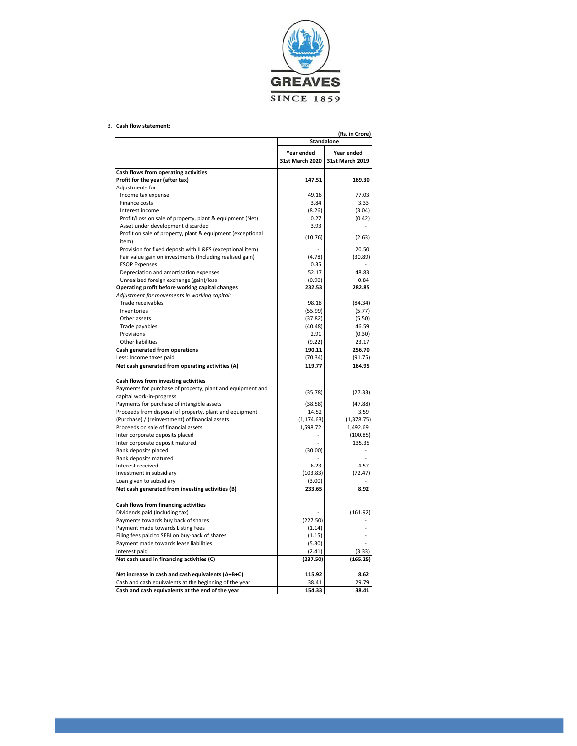

#### 3. Cash flow statement:

|                                                                                         |                      | (Rs. in Crore)      |  |
|-----------------------------------------------------------------------------------------|----------------------|---------------------|--|
|                                                                                         | <b>Standalone</b>    |                     |  |
|                                                                                         | Year ended           | Year ended          |  |
|                                                                                         | 31st March 2020      | 31st March 2019     |  |
| Cash flows from operating activities                                                    |                      |                     |  |
| Profit for the year (after tax)                                                         | 147.51               | 169.30              |  |
| Adjustments for:                                                                        |                      |                     |  |
| Income tax expense                                                                      | 49.16                | 77.03               |  |
| Finance costs                                                                           | 3.84                 | 3.33                |  |
| Interest income                                                                         | (8.26)               | (3.04)              |  |
| Profit/Loss on sale of property, plant & equipment (Net)                                | 0.27                 | (0.42)              |  |
| Asset under development discarded                                                       | 3.93                 |                     |  |
| Profit on sale of property, plant & equipment (exceptional                              |                      |                     |  |
| item)                                                                                   | (10.76)              | (2.63)              |  |
| Provision for fixed deposit with IL&FS (exceptional item)                               |                      | 20.50               |  |
| Fair value gain on investments (Including realised gain)                                | (4.78)               | (30.89)             |  |
| <b>ESOP Expenses</b>                                                                    | 0.35                 |                     |  |
| Depreciation and amortisation expenses                                                  | 52.17                | 48.83               |  |
| Unrealised foreign exchange (gain)/loss                                                 | (0.90)               | 0.84                |  |
| Operating profit before working capital changes                                         | 232.53               | 282.85              |  |
| Adjustment for movements in working capital:                                            |                      |                     |  |
| Trade receivables                                                                       | 98.18                | (84.34)             |  |
| Inventories                                                                             | (55.99)              | (5.77)              |  |
| Other assets                                                                            | (37.82)              | (5.50)              |  |
| Trade payables                                                                          | (40.48)              | 46.59               |  |
| Provisions                                                                              | 2.91                 | (0.30)              |  |
| Other liabilities                                                                       | (9.22)               | 23.17               |  |
| Cash generated from operations                                                          | 190.11               | 256.70              |  |
| Less: Income taxes paid                                                                 | (70.34)              | (91.75)             |  |
| Net cash generated from operating activities (A)                                        | 119.77               | 164.95              |  |
|                                                                                         |                      |                     |  |
| Cash flows from investing activities                                                    |                      |                     |  |
| Payments for purchase of property, plant and equipment and                              | (35.78)              | (27.33)             |  |
| capital work-in-progress                                                                |                      |                     |  |
| Payments for purchase of intangible assets                                              | (38.58)              | (47.88)             |  |
| Proceeds from disposal of property, plant and equipment                                 | 14.52<br>(1, 174.63) | 3.59<br>(1, 378.75) |  |
| (Purchase) / (reinvestment) of financial assets<br>Proceeds on sale of financial assets | 1,598.72             | 1,492.69            |  |
| Inter corporate deposits placed                                                         |                      | (100.85)            |  |
| Inter corporate deposit matured                                                         |                      | 135.35              |  |
| Bank deposits placed                                                                    | (30.00)              |                     |  |
| Bank deposits matured                                                                   |                      |                     |  |
| Interest received                                                                       | 6.23                 | 4.57                |  |
| Investment in subsidiary                                                                | (103.83)             | (72.47)             |  |
| Loan given to subsidiary                                                                | (3.00)               |                     |  |
| Net cash generated from investing activities (B)                                        | 233.65               | 8.92                |  |
|                                                                                         |                      |                     |  |
| Cash flows from financing activities                                                    |                      |                     |  |
| Dividends paid (including tax)                                                          |                      | (161.92)            |  |
| Payments towards buy back of shares                                                     | (227.50)             |                     |  |
| Payment made towards Listing Fees                                                       | (1.14)               |                     |  |
| Filing fees paid to SEBI on buy-back of shares                                          | (1.15)               |                     |  |
| Payment made towards lease liabilities                                                  | (5.30)               |                     |  |
| Interest paid                                                                           | (2.41)               | (3.33)              |  |
| Net cash used in financing activities (C)                                               | (237.50)             | (165.25)            |  |
|                                                                                         |                      |                     |  |
| Net increase in cash and cash equivalents (A+B+C)                                       | 115.92               | 8.62                |  |
| Cash and cash equivalents at the beginning of the year                                  | 38.41                | 29.79               |  |
| Cash and cash equivalents at the end of the year                                        | 154.33               | 38.41               |  |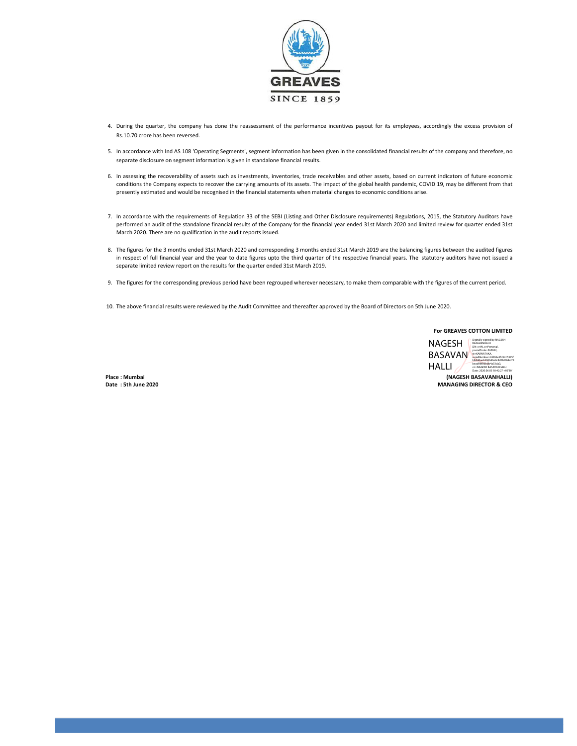

- 4. During the quarter, the company has done the reassessment of the performance incentives payout for its employees, accordingly the excess provision of Rs.10.70 crore has been reversed.
- 5. In accordance with Ind AS 108 'Operating Segments', segment information has been given in the consolidated financial results of the company and therefore, no separate disclosure on segment information is given in standalone financial results.
- 6. In assessing the recoverability of assets such as investments, inventories, trade receivables and other assets, based on current indicators of future economic conditions the Company expects to recover the carrying amounts of its assets. The impact of the global health pandemic, COVID 19, may be different from that presently estimated and would be recognised in the financial statements when material changes to economic conditions arise.
- 7. In accordance with the requirements of Regulation 33 of the SEBI (Listing and Other Disclosure requirements) Regulations, 2015, the Statutory Auditors have performed an audit of the standalone financial results of the Company for the financial year ended 31st March 2020 and limited review for quarter ended 31st March 2020. There are no qualification in the audit reports issued.
- 8. The figures for the 3 months ended 31st March 2020 and corresponding 3 months ended 31st March 2019 are the balancing figures between the audited figures in respect of full financial year and the year to date figures upto the third quarter of the respective financial years. The statutory auditors have not issued a separate limited review report on the results for the quarter ended 31st March 2019.
- 9. The figures for the corresponding previous period have been regrouped wherever necessary, to make them comparable with the figures of the current period.
- 10. The above financial results were reviewed by the Audit Committee and thereafter approved by the Board of Directors on 5th June 2020.

For GREAVES COTTON LIMITED

NAGESH BASAVAN **postalCode=560062** HALLI Digitally signed by NAGESH BASAVANHALLI DN: c=IN, o=Personal, serialNumber=6fd96e3fd5415375f b84ddaeb206646e9c8d1b78abc75 bead98f86bbb4a33da0, cn=NAGESH BASAVANHALLI Date: 2020.06.05 18:42:27 +05'30'

Place : Mumbai (NAGESH BASAVANHALLI) Date : 5th June 2020 MANAGING DIRECTOR & CEO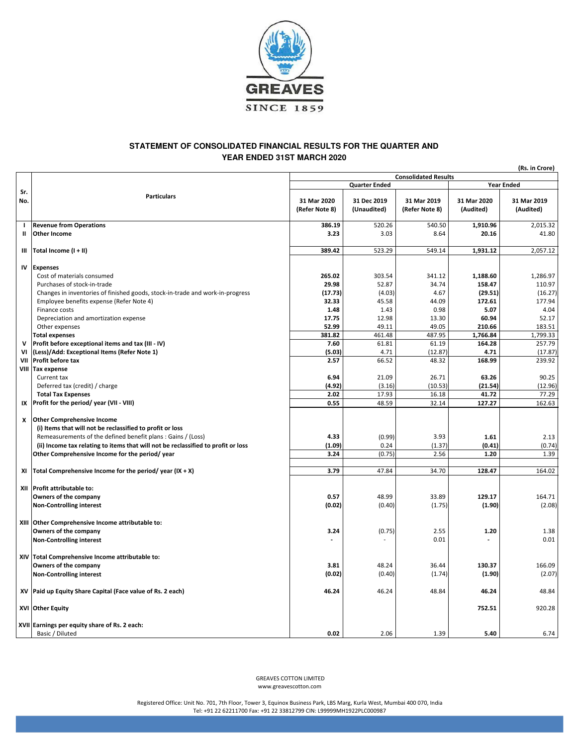

#### **STATEMENT OF CONSOLIDATED FINANCIAL RESULTS FOR THE QUARTER AND YEAR ENDED 31ST MARCH 2020**

(Rs. in Crore)

|                |                                                                                                                                                                                                                                                    | <b>Consolidated Results</b>   |                            |                               |                          | ו טוס וווי הכוון         |  |
|----------------|----------------------------------------------------------------------------------------------------------------------------------------------------------------------------------------------------------------------------------------------------|-------------------------------|----------------------------|-------------------------------|--------------------------|--------------------------|--|
|                |                                                                                                                                                                                                                                                    |                               | <b>Quarter Ended</b>       |                               |                          | <b>Year Ended</b>        |  |
| Sr.<br>No.     | <b>Particulars</b>                                                                                                                                                                                                                                 | 31 Mar 2020<br>(Refer Note 8) | 31 Dec 2019<br>(Unaudited) | 31 Mar 2019<br>(Refer Note 8) | 31 Mar 2020<br>(Audited) | 31 Mar 2019<br>(Audited) |  |
|                | <b>Revenue from Operations</b>                                                                                                                                                                                                                     | 386.19                        | 520.26                     | 540.50                        | 1,910.96                 | 2,015.32                 |  |
| Ш              | <b>Other Income</b>                                                                                                                                                                                                                                | 3.23                          | 3.03                       | 8.64                          | 20.16                    | 41.80                    |  |
| Ш              | Total Income (I + II)                                                                                                                                                                                                                              | 389.42                        | 523.29                     | 549.14                        | 1,931.12                 | 2,057.12                 |  |
| IV             | <b>Expenses</b>                                                                                                                                                                                                                                    |                               |                            |                               |                          |                          |  |
|                | Cost of materials consumed                                                                                                                                                                                                                         | 265.02                        | 303.54                     | 341.12                        | 1,188.60                 | 1,286.97                 |  |
|                | Purchases of stock-in-trade                                                                                                                                                                                                                        | 29.98                         | 52.87                      | 34.74                         | 158.47                   | 110.97                   |  |
|                | Changes in inventories of finished goods, stock-in-trade and work-in-progress                                                                                                                                                                      | (17.73)                       | (4.03)                     | 4.67                          | (29.51)                  | (16.27)                  |  |
|                | Employee benefits expense (Refer Note 4)                                                                                                                                                                                                           | 32.33                         | 45.58                      | 44.09                         | 172.61                   | 177.94                   |  |
|                | Finance costs                                                                                                                                                                                                                                      | 1.48                          | 1.43                       | 0.98                          | 5.07                     | 4.04                     |  |
|                | Depreciation and amortization expense                                                                                                                                                                                                              | 17.75                         | 12.98                      | 13.30                         | 60.94                    | 52.17                    |  |
|                | Other expenses                                                                                                                                                                                                                                     | 52.99                         | 49.11                      | 49.05                         | 210.66                   | 183.51                   |  |
|                | <b>Total expenses</b>                                                                                                                                                                                                                              | 381.82                        | 461.48                     | 487.95                        | 1,766.84                 | 1,799.33                 |  |
| $\mathbf v$    | Profit before exceptional items and tax (III - IV)                                                                                                                                                                                                 | 7.60                          | 61.81                      | 61.19                         | 164.28                   | 257.79                   |  |
| V <sub>1</sub> | (Less)/Add: Exceptional Items (Refer Note 1)                                                                                                                                                                                                       | (5.03)                        | 4.71                       | (12.87)                       | 4.71                     | (17.87)                  |  |
| VII            | <b>Profit before tax</b>                                                                                                                                                                                                                           | 2.57                          | 66.52                      | 48.32                         | 168.99                   | 239.92                   |  |
|                | VIII Tax expense                                                                                                                                                                                                                                   |                               |                            |                               |                          |                          |  |
|                | Current tax                                                                                                                                                                                                                                        | 6.94                          | 21.09                      | 26.71                         | 63.26                    | 90.25                    |  |
|                | Deferred tax (credit) / charge                                                                                                                                                                                                                     | (4.92)                        | (3.16)                     | (10.53)                       | (21.54)                  | (12.96)                  |  |
|                | <b>Total Tax Expenses</b>                                                                                                                                                                                                                          | 2.02                          | 17.93                      | 16.18                         | 41.72                    | 77.29                    |  |
| IX             | Profit for the period/year (VII - VIII)                                                                                                                                                                                                            | 0.55                          | 48.59                      | 32.14                         | 127.27                   | 162.63                   |  |
| x              | <b>Other Comprehensive Income</b><br>(i) Items that will not be reclassified to profit or loss<br>Remeasurements of the defined benefit plans: Gains / (Loss)<br>(ii) Income tax relating to items that will not be reclassified to profit or loss | 4.33<br>(1.09)                | (0.99)<br>0.24             | 3.93<br>(1.37)                | 1.61<br>(0.41)           | 2.13<br>(0.74)           |  |
|                | Other Comprehensive Income for the period/year                                                                                                                                                                                                     | 3.24                          | (0.75)                     | 2.56                          | 1.20                     | 1.39                     |  |
|                |                                                                                                                                                                                                                                                    |                               |                            |                               |                          |                          |  |
| XI             | Total Comprehensive Income for the period/year (IX + X)                                                                                                                                                                                            | 3.79                          | 47.84                      | 34.70                         | 128.47                   | 164.02                   |  |
|                | XII Profit attributable to:<br>Owners of the company<br><b>Non-Controlling interest</b>                                                                                                                                                            | 0.57<br>(0.02)                | 48.99<br>(0.40)            | 33.89<br>(1.75)               | 129.17<br>(1.90)         | 164.71<br>(2.08)         |  |
|                | XIII Other Comprehensive Income attributable to:<br>Owners of the company<br><b>Non-Controlling interest</b>                                                                                                                                       | 3.24                          | (0.75)                     | 2.55<br>0.01                  | 1.20                     | 1.38<br>0.01             |  |
|                | XIV Total Comprehensive Income attributable to:<br>Owners of the company<br><b>Non-Controlling interest</b>                                                                                                                                        | 3.81<br>(0.02)                | 48.24<br>(0.40)            | 36.44<br>(1.74)               | 130.37<br>(1.90)         | 166.09<br>(2.07)         |  |
| XV             | Paid up Equity Share Capital (Face value of Rs. 2 each)                                                                                                                                                                                            | 46.24                         | 46.24                      | 48.84                         | 46.24                    | 48.84                    |  |
|                | XVI Other Equity                                                                                                                                                                                                                                   |                               |                            |                               | 752.51                   | 920.28                   |  |
|                | XVII Earnings per equity share of Rs. 2 each:<br>Basic / Diluted                                                                                                                                                                                   | 0.02                          | 2.06                       | 1.39                          | 5.40                     | 6.74                     |  |

 GREAVES COTTON LIMITED www.greavescotton.com

Registered Office: Unit No. 701, 7th Floor, Tower 3, Equinox Business Park, LBS Marg, Kurla West, Mumbai 400 070, India Tel: +91 22 62211700 Fax: +91 22 33812799 CIN: L99999MH1922PLC000987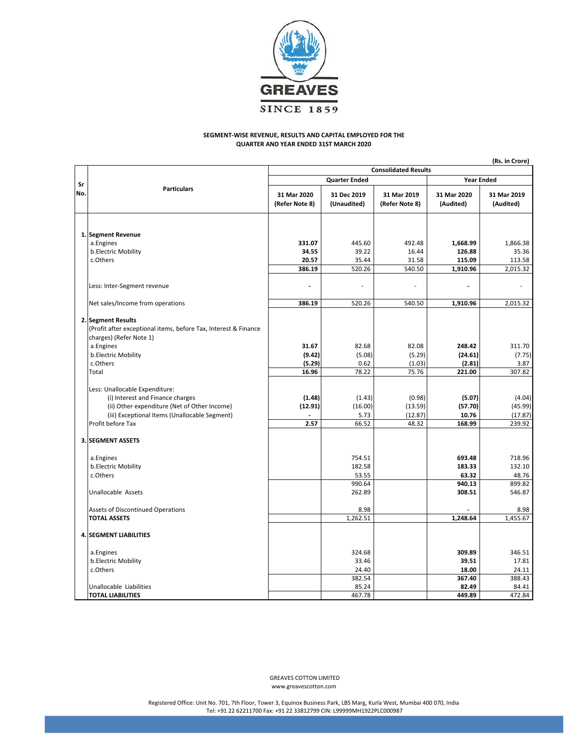

#### SEGMENT-WISE REVENUE, RESULTS AND CAPITAL EMPLOYED FOR THE QUARTER AND YEAR ENDED 31ST MARCH 2020

|     | (Rs. in Crore)                                                                                                                                                                           |                               |                                    |                                       |                                      |                                        |  |
|-----|------------------------------------------------------------------------------------------------------------------------------------------------------------------------------------------|-------------------------------|------------------------------------|---------------------------------------|--------------------------------------|----------------------------------------|--|
|     |                                                                                                                                                                                          | <b>Consolidated Results</b>   |                                    |                                       |                                      |                                        |  |
| Sr  | <b>Particulars</b>                                                                                                                                                                       |                               | <b>Quarter Ended</b>               | <b>Year Ended</b>                     |                                      |                                        |  |
| No. |                                                                                                                                                                                          | 31 Mar 2020<br>(Refer Note 8) | 31 Dec 2019<br>(Unaudited)         | 31 Mar 2019<br>(Refer Note 8)         | 31 Mar 2020<br>(Audited)             | 31 Mar 2019<br>(Audited)               |  |
|     | 1. Segment Revenue<br>a.Engines                                                                                                                                                          | 331.07                        | 445.60                             | 492.48                                | 1,668.99                             | 1,866.38                               |  |
|     | b.Electric Mobility                                                                                                                                                                      | 34.55                         | 39.22                              | 16.44                                 | 126.88                               | 35.36                                  |  |
|     | c.Others                                                                                                                                                                                 | 20.57                         | 35.44                              | 31.58                                 | 115.09                               | 113.58                                 |  |
|     |                                                                                                                                                                                          | 386.19                        | 520.26                             | 540.50                                | 1,910.96                             | 2,015.32                               |  |
|     | Less: Inter-Segment revenue                                                                                                                                                              |                               |                                    |                                       |                                      |                                        |  |
|     | Net sales/Income from operations                                                                                                                                                         | 386.19                        | 520.26                             | 540.50                                | 1,910.96                             | 2,015.32                               |  |
|     | 2. Segment Results<br>(Profit after exceptional items, before Tax, Interest & Finance<br>charges) (Refer Note 1)                                                                         |                               |                                    |                                       |                                      |                                        |  |
|     | a.Engines                                                                                                                                                                                | 31.67                         | 82.68                              | 82.08                                 | 248.42                               | 311.70                                 |  |
|     | b.Electric Mobility                                                                                                                                                                      | (9.42)                        | (5.08)                             | (5.29)                                | (24.61)                              | (7.75)                                 |  |
|     | c.Others<br>Total                                                                                                                                                                        | (5.29)<br>16.96               | 0.62<br>78.22                      | (1.03)<br>75.76                       | (2.81)<br>221.00                     | 3.87<br>307.82                         |  |
|     | Less: Unallocable Expenditure:<br>(i) Interest and Finance charges<br>(ii) Other expenditure (Net of Other Income)<br>(iii) Exceptional Items (Unallocable Segment)<br>Profit before Tax | (1.48)<br>(12.91)<br>2.57     | (1.43)<br>(16.00)<br>5.73<br>66.52 | (0.98)<br>(13.59)<br>(12.87)<br>48.32 | (5.07)<br>(57.70)<br>10.76<br>168.99 | (4.04)<br>(45.99)<br>(17.87)<br>239.92 |  |
|     | <b>3. SEGMENT ASSETS</b>                                                                                                                                                                 |                               |                                    |                                       |                                      |                                        |  |
|     | a.Engines<br>b.Electric Mobility<br>c.Others                                                                                                                                             |                               | 754.51<br>182.58<br>53.55          |                                       | 693.48<br>183.33<br>63.32            | 718.96<br>132.10<br>48.76              |  |
|     | Unallocable Assets                                                                                                                                                                       |                               | 990.64<br>262.89                   |                                       | 940.13<br>308.51                     | 899.82<br>546.87                       |  |
|     | Assets of Discontinued Operations                                                                                                                                                        |                               | 8.98                               |                                       |                                      | 8.98                                   |  |
|     | <b>TOTAL ASSETS</b>                                                                                                                                                                      |                               | 1,262.51                           |                                       | 1,248.64                             | 1,455.67                               |  |
|     | <b>4. SEGMENT LIABILITIES</b>                                                                                                                                                            |                               |                                    |                                       |                                      |                                        |  |
|     | a.Engines                                                                                                                                                                                |                               | 324.68                             |                                       | 309.89                               | 346.51                                 |  |
|     | b.Electric Mobility                                                                                                                                                                      |                               | 33.46                              |                                       | 39.51                                | 17.81                                  |  |
|     | c.Others                                                                                                                                                                                 |                               | 24.40                              |                                       | 18.00                                | 24.11                                  |  |
|     |                                                                                                                                                                                          |                               | 382.54                             |                                       | 367.40<br>82.49                      | 388.43<br>84.41                        |  |
|     | Unallocable Liabilities<br><b>TOTAL LIABILITIES</b>                                                                                                                                      |                               | 85.24<br>467.78                    |                                       | 449.89                               | 472.84                                 |  |
|     |                                                                                                                                                                                          |                               |                                    |                                       |                                      |                                        |  |

 GREAVES COTTON LIMITED www.greavescotton.com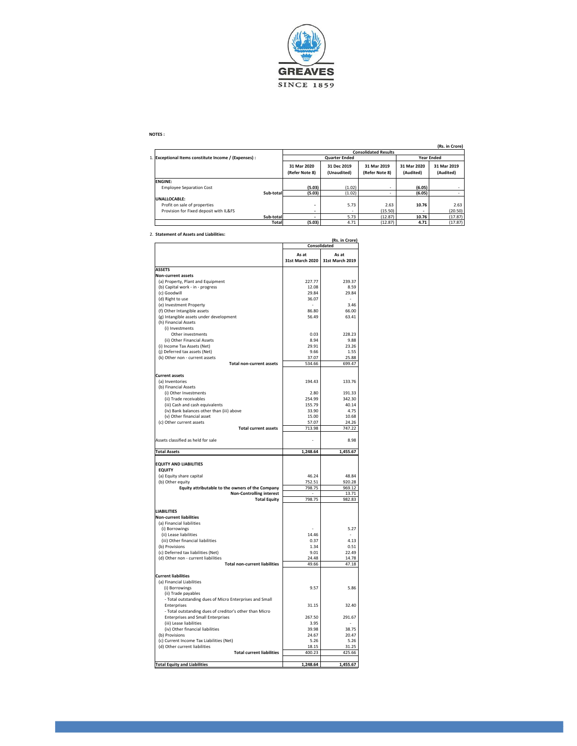

#### NOTES :

|                                                       |                               |                             |                               |                          | (Rs. in Crore)           |  |  |  |
|-------------------------------------------------------|-------------------------------|-----------------------------|-------------------------------|--------------------------|--------------------------|--|--|--|
|                                                       |                               | <b>Consolidated Results</b> |                               |                          |                          |  |  |  |
| 1. Exceptional Items constitute Income / (Expenses) : |                               | <b>Quarter Ended</b>        | <b>Year Ended</b>             |                          |                          |  |  |  |
|                                                       | 31 Mar 2020<br>(Refer Note 8) | 31 Dec 2019<br>(Unaudited)  | 31 Mar 2019<br>(Refer Note 8) | 31 Mar 2020<br>(Audited) | 31 Mar 2019<br>(Audited) |  |  |  |
| <b>ENGINE:</b>                                        |                               |                             |                               |                          |                          |  |  |  |
| <b>Employee Separation Cost</b>                       | (5.03)                        | (1.02)                      | ۰                             | (6.05)                   |                          |  |  |  |
| Sub-total                                             | (5.03)                        | (1.02)                      | ۰                             | (6.05)                   |                          |  |  |  |
| UNALLOCABLE:                                          |                               |                             |                               |                          |                          |  |  |  |
| Profit on sale of properties                          | ۰                             | 5.73                        | 2.63                          | 10.76                    | 2.63                     |  |  |  |
| Provision for Fixed deposit with IL&FS                | ۰                             | ۰                           | (15.50)                       |                          | (20.50)                  |  |  |  |
| Sub-total                                             | -                             | 5.73                        | (12.87)                       | 10.76                    | (17.87)                  |  |  |  |
|                                                       | (5.03)<br>Total               | 4.71                        | (12.87)                       | 4.71                     | (17.87)                  |  |  |  |

2. Statement of Assets and Liabilities:

|                                                                   | (Rs. in Crore)<br>Consolidated |                 |  |  |
|-------------------------------------------------------------------|--------------------------------|-----------------|--|--|
|                                                                   | As at                          | As at           |  |  |
|                                                                   | 31st March 2020                | 31st March 2019 |  |  |
|                                                                   |                                |                 |  |  |
| <b>ASSETS</b><br><b>Non-current assets</b>                        |                                |                 |  |  |
| (a) Property, Plant and Equipment                                 | 227.77                         | 239.37          |  |  |
| (b) Capital work - in - progress                                  | 12.08                          | 8.59            |  |  |
| (c) Goodwill                                                      | 29.84                          | 29.84           |  |  |
| (d) Right to use                                                  | 36.07                          |                 |  |  |
| (e) Investment Property                                           |                                | 3.46            |  |  |
| (f) Other Intangible assets                                       | 86.80                          | 66.00           |  |  |
| (g) Intangible assets under development                           | 56.49                          | 63.41           |  |  |
| (h) Financial Assets                                              |                                |                 |  |  |
| (i) Investments                                                   |                                |                 |  |  |
| Other investments                                                 | 0.03                           | 228.23          |  |  |
| (ii) Other Financial Assets                                       | 8.94                           | 9.88            |  |  |
| (i) Income Tax Assets (Net)                                       | 29.91                          | 23.26           |  |  |
| (j) Deferred tax assets (Net)                                     | 9.66                           | 1.55            |  |  |
| (k) Other non - current assets                                    | 37.07                          | 25.88           |  |  |
| <b>Total non-current assets</b>                                   | 534.66                         | 699.47          |  |  |
|                                                                   |                                |                 |  |  |
| <b>Current assets</b>                                             |                                |                 |  |  |
| (a) Inventories                                                   | 194.43                         | 133.76          |  |  |
| (b) Financial Assets                                              |                                |                 |  |  |
| (i) Other Investments                                             | 2.80                           | 191.33          |  |  |
| (ii) Trade receivables                                            | 254.99                         | 342.30          |  |  |
| (iii) Cash and cash equivalents                                   | 155.79                         | 40.14           |  |  |
| (iv) Bank balances other than (iii) above                         | 33.90                          | 4.75            |  |  |
| (v) Other financial asset                                         | 15.00                          | 10.68           |  |  |
| (c) Other current assets                                          | 57.07                          | 24.26           |  |  |
| <b>Total current assets</b>                                       | 713.98                         | 747.22          |  |  |
|                                                                   |                                |                 |  |  |
| Assets classified as held for sale                                |                                | 8.98            |  |  |
| <b>Total Assets</b>                                               | 1,248.64                       | 1,455.67        |  |  |
|                                                                   |                                |                 |  |  |
| <b>EQUITY AND LIABILITIES</b>                                     |                                |                 |  |  |
| <b>EQUITY</b>                                                     |                                |                 |  |  |
| (a) Equity share capital                                          | 46.24                          | 48.84           |  |  |
| (b) Other equity                                                  | 752.51                         | 920.28          |  |  |
| Equity attributable to the owners of the Company                  | 798.75                         | 969.12          |  |  |
| <b>Non-Controlling interest</b>                                   |                                | 13.71           |  |  |
| <b>Total Equity</b>                                               | 798.75                         | 982.83          |  |  |
|                                                                   |                                |                 |  |  |
| <b>LIABILITIES</b>                                                |                                |                 |  |  |
| <b>Non-current liabilities</b>                                    |                                |                 |  |  |
| (a) Financial liabilities                                         |                                |                 |  |  |
| (i) Borrowings                                                    |                                | 5.27            |  |  |
| (ii) Lease liabilities                                            | 14.46                          |                 |  |  |
| (iii) Other financial liabilities                                 | 0.37                           | 4.13            |  |  |
| (b) Provisions                                                    | 1.34                           | 0.51            |  |  |
| (c) Deferred tax liabilities (Net)                                | 9.01                           | 22.49           |  |  |
| (d) Other non - current liabilities                               | 24.48                          | 14.78           |  |  |
| <b>Total non-current liabilities</b>                              | 49.66                          | 47.18           |  |  |
|                                                                   |                                |                 |  |  |
| <b>Current liabilities</b>                                        |                                |                 |  |  |
| (a) Financial Liabilities                                         |                                |                 |  |  |
| (i) Borrowings                                                    | 9.57                           | 5.86            |  |  |
| (ii) Trade payables                                               |                                |                 |  |  |
| - Total outstanding dues of Micro Enterprises and Small           |                                |                 |  |  |
| Enterprises                                                       | 31.15                          | 32.40           |  |  |
| - Total outstanding dues of creditor's other than Micro           |                                |                 |  |  |
| <b>Enterprises and Small Enterprises</b>                          | 267.50                         | 291.67          |  |  |
| (iii) Lease liabilities                                           | 3.95                           |                 |  |  |
| (iv) Other financial liabilities                                  | 39.98                          | 38.75           |  |  |
| (b) Provisions                                                    | 24.67                          | 20.47           |  |  |
|                                                                   |                                | 5.26            |  |  |
|                                                                   |                                |                 |  |  |
| (c) Current Income Tax Liabilities (Net)                          | 5.26                           |                 |  |  |
| (d) Other current liabilities<br><b>Total current liabilities</b> | 18.15<br>400.23                | 31.25<br>425.66 |  |  |
|                                                                   |                                |                 |  |  |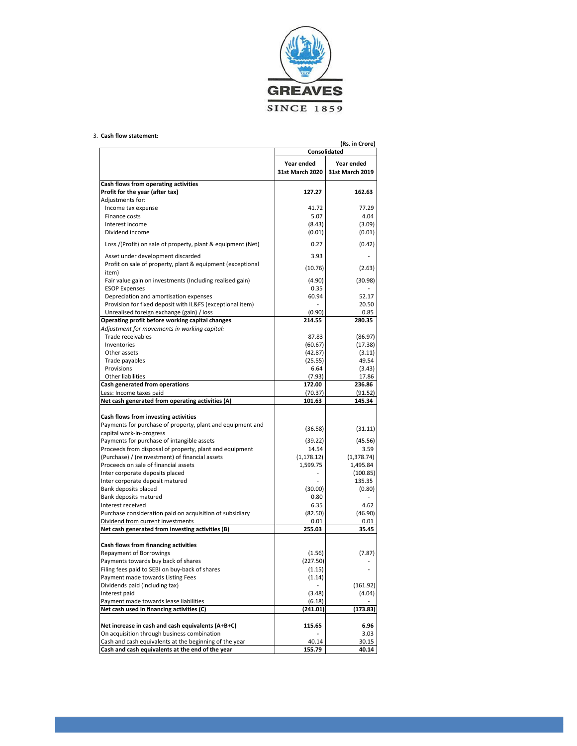

#### 3. Cash flow statement:

|                                                             |                                      | (Rs. in Crore)<br>Consolidated       |
|-------------------------------------------------------------|--------------------------------------|--------------------------------------|
|                                                             | Year ended<br><b>31st March 2020</b> | Year ended<br><b>31st March 2019</b> |
| Cash flows from operating activities                        |                                      |                                      |
| Profit for the year (after tax)                             | 127.27                               | 162.63                               |
| Adjustments for:                                            |                                      |                                      |
| Income tax expense                                          | 41.72                                | 77.29                                |
| Finance costs                                               | 5.07                                 | 4.04                                 |
| Interest income                                             | (8.43)                               | (3.09)                               |
| Dividend income                                             | (0.01)                               | (0.01)                               |
| Loss /(Profit) on sale of property, plant & equipment (Net) | 0.27                                 | (0.42)                               |
| Asset under development discarded                           | 3.93                                 |                                      |
| Profit on sale of property, plant & equipment (exceptional  | (10.76)                              | (2.63)                               |
| item)                                                       |                                      |                                      |
| Fair value gain on investments (Including realised gain)    | (4.90)                               | (30.98)                              |
| <b>ESOP Expenses</b>                                        | 0.35                                 |                                      |
| Depreciation and amortisation expenses                      | 60.94                                | 52.17                                |
| Provision for fixed deposit with IL&FS (exceptional item)   |                                      | 20.50                                |
| Unrealised foreign exchange (gain) / loss                   | (0.90)                               | 0.85                                 |
| Operating profit before working capital changes             | 214.55                               | 280.35                               |
| Adjustment for movements in working capital:                |                                      |                                      |
| Trade receivables                                           | 87.83                                | (86.97)                              |
| Inventories                                                 | (60.67)                              | (17.38)                              |
| Other assets                                                | (42.87)                              | (3.11)                               |
| Trade payables                                              | (25.55)                              | 49.54                                |
| Provisions                                                  | 6.64                                 | (3.43)                               |
| Other liabilities                                           | (7.93)                               | 17.86                                |
| Cash generated from operations                              | 172.00                               | 236.86                               |
| Less: Income taxes paid                                     | (70.37)                              | (91.52)                              |
| Net cash generated from operating activities (A)            | 101.63                               | 145.34                               |
| Cash flows from investing activities                        |                                      |                                      |
| Payments for purchase of property, plant and equipment and  |                                      |                                      |
| capital work-in-progress                                    | (36.58)                              | (31.11)                              |
| Payments for purchase of intangible assets                  | (39.22)                              | (45.56)                              |
| Proceeds from disposal of property, plant and equipment     | 14.54                                | 3.59                                 |
| (Purchase) / (reinvestment) of financial assets             | (1, 178.12)                          | (1,378.74)                           |
| Proceeds on sale of financial assets                        | 1,599.75                             | 1,495.84                             |
| Inter corporate deposits placed                             |                                      | (100.85)                             |
| Inter corporate deposit matured                             |                                      | 135.35                               |
| Bank deposits placed                                        | (30.00)                              | (0.80)                               |
| Bank deposits matured                                       | 0.80                                 |                                      |
| Interest received                                           | 6.35                                 | 4.62                                 |
| Purchase consideration paid on acquisition of subsidiary    | (82.50)                              | (46.90)                              |
| Dividend from current investments                           | 0.01                                 | 0.01                                 |
| Net cash generated from investing activities (B)            | 255.03                               | 35.45                                |
|                                                             |                                      |                                      |
| Cash flows from financing activities                        |                                      |                                      |
| <b>Repayment of Borrowings</b>                              | (1.56)                               | (7.87)                               |
| Payments towards buy back of shares                         | (227.50)                             |                                      |
| Filing fees paid to SEBI on buy-back of shares              | (1.15)                               |                                      |
| Payment made towards Listing Fees                           | (1.14)                               |                                      |
| Dividends paid (including tax)                              |                                      | (161.92)                             |
| Interest paid                                               | (3.48)                               | (4.04)                               |
| Payment made towards lease liabilities                      | (6.18)                               |                                      |
| Net cash used in financing activities (C)                   | (241.01)                             | (173.83)                             |
|                                                             |                                      |                                      |
| Net increase in cash and cash equivalents (A+B+C)           | 115.65                               | 6.96                                 |
| On acquisition through business combination                 |                                      | 3.03                                 |
| Cash and cash equivalents at the beginning of the year      | 40.14                                | 30.15                                |
| Cash and cash equivalents at the end of the year            | 155.79                               | 40.14                                |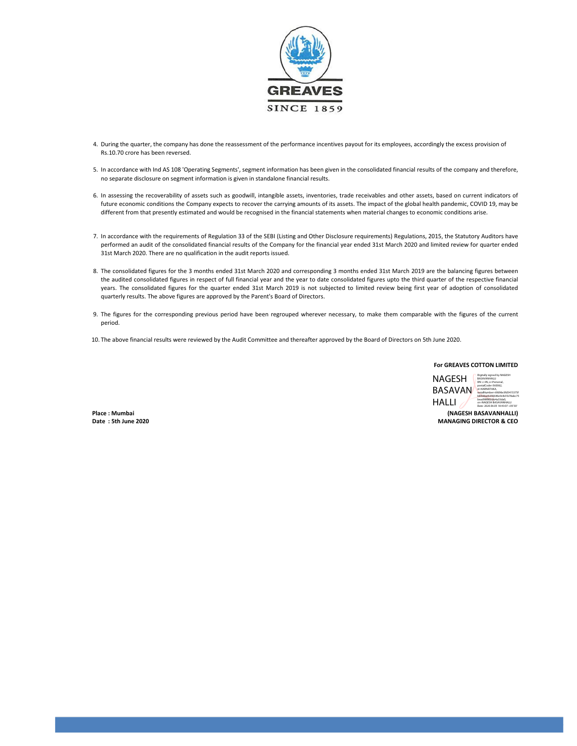

- 4. During the quarter, the company has done the reassessment of the performance incentives payout for its employees, accordingly the excess provision of Rs.10.70 crore has been reversed.
- 5. In accordance with Ind AS 108 'Operating Segments', segment information has been given in the consolidated financial results of the company and therefore, no separate disclosure on segment information is given in standalone financial results.
- 6. In assessing the recoverability of assets such as goodwill, intangible assets, inventories, trade receivables and other assets, based on current indicators of future economic conditions the Company expects to recover the carrying amounts of its assets. The impact of the global health pandemic, COVID 19, may be different from that presently estimated and would be recognised in the financial statements when material changes to economic conditions arise.
- 7. In accordance with the requirements of Regulation 33 of the SEBI (Listing and Other Disclosure requirements) Regulations, 2015, the Statutory Auditors have performed an audit of the consolidated financial results of the Company for the financial year ended 31st March 2020 and limited review for quarter ended 31st March 2020. There are no qualification in the audit reports issued.
- 8. The consolidated figures for the 3 months ended 31st March 2020 and corresponding 3 months ended 31st March 2019 are the balancing figures between the audited consolidated figures in respect of full financial year and the year to date consolidated figures upto the third quarter of the respective financial years. The consolidated figures for the quarter ended 31st March 2019 is not subjected to limited review being first year of adoption of consolidated quarterly results. The above figures are approved by the Parent's Board of Directors.
- 9. The figures for the corresponding previous period have been regrouped wherever necessary, to make them comparable with the figures of the current period.
- 10. The above financial results were reviewed by the Audit Committee and thereafter approved by the Board of Directors on 5th June 2020.



Place : Mumbai (NAGESH BASAVANHALLI) Date : 5th June 2020 MANAGING DIRECTOR & CEO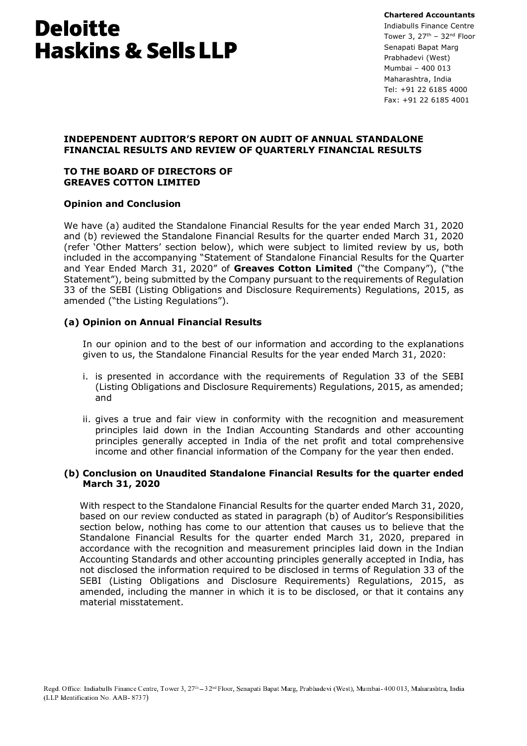**Chartered Accountants** Indiabulls Finance Centre Tower 3,  $27^{\text{th}}$  -  $32^{\text{nd}}$  Floor Senapati Bapat Marg Prabhadevi (West) Mumbai - 400 013 Maharashtra, India Tel: +91 22 6185 4000 Fax: +91 22 6185 4001

## **INDEPENDENT AUDITOR'S REPORT ON AUDIT OF ANNUAL STANDALONE** FINANCIAL RESULTS AND REVIEW OF QUARTERLY FINANCIAL RESULTS

#### TO THE BOARD OF DIRECTORS OF **GREAVES COTTON I IMITED**

# **Opinion and Conclusion**

We have (a) audited the Standalone Financial Results for the year ended March 31, 2020 and (b) reviewed the Standalone Financial Results for the quarter ended March 31, 2020 (refer 'Other Matters' section below), which were subject to limited review by us, both included in the accompanying "Statement of Standalone Financial Results for the Quarter and Year Ended March  $31$ ,  $2020''$  of Greaves Cotton Limited ("the Company"), ("the Statement"), being submitted by the Company pursuant to the requirements of Regulation 33 of the SEBI (Listing Obligations and Disclosure Requirements) Regulations, 2015, as amended ("the Listing Regulations").

# (a) Opinion on Annual Financial Results

In our opinion and to the best of our information and according to the explanations given to us, the Standalone Financial Results for the year ended March 31, 2020:

- i. is presented in accordance with the requirements of Regulation 33 of the SEBI (Listing Obligations and Disclosure Requirements) Regulations, 2015, as amended; and
- ii. gives a true and fair view in conformity with the recognition and measurement principles laid down in the Indian Accounting Standards and other accounting principles generally accepted in India of the net profit and total comprehensive income and other financial information of the Company for the year then ended.

#### (b) Conclusion on Unaudited Standalone Financial Results for the quarter ended March 31, 2020

With respect to the Standalone Financial Results for the quarter ended March 31, 2020, based on our review conducted as stated in paragraph (b) of Auditor's Responsibilities section below, nothing has come to our attention that causes us to believe that the Standalone Financial Results for the quarter ended March 31, 2020, prepared in accordance with the recognition and measurement principles laid down in the Indian Accounting Standards and other accounting principles generally accepted in India, has not disclosed the information required to be disclosed in terms of Requlation 33 of the SEBI (Listing Obligations and Disclosure Requirements) Regulations, 2015, as amended, including the manner in which it is to be disclosed, or that it contains any material misstatement.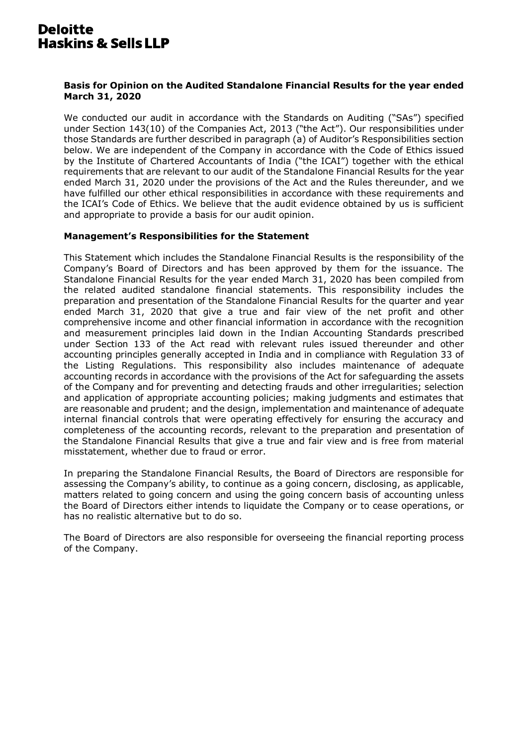#### Basis for Opinion on the Audited Standalone Financial Results for the year ended **March 31, 2020**

We conducted our audit in accordance with the Standards on Auditing ("SAs") specified under Section 143(10) of the Companies Act, 2013 ("the Act"). Our responsibilities under those Standards are further described in paragraph (a) of Auditor's Responsibilities section below. We are independent of the Company in accordance with the Code of Ethics issued by the Institute of Chartered Accountants of India ("the ICAI") together with the ethical requirements that are relevant to our audit of the Standalone Financial Results for the year ended March 31, 2020 under the provisions of the Act and the Rules thereunder, and we have fulfilled our other ethical responsibilities in accordance with these requirements and the ICAI's Code of Ethics. We believe that the audit evidence obtained by us is sufficient and appropriate to provide a basis for our audit opinion.

#### **Management's Responsibilities for the Statement**

This Statement which includes the Standalone Financial Results is the responsibility of the Company's Board of Directors and has been approved by them for the issuance. The Standalone Financial Results for the year ended March 31, 2020 has been compiled from the related audited standalone financial statements. This responsibility includes the preparation and presentation of the Standalone Financial Results for the quarter and year ended March 31, 2020 that give a true and fair view of the net profit and other comprehensive income and other financial information in accordance with the recognition and measurement principles laid down in the Indian Accounting Standards prescribed under Section 133 of the Act read with relevant rules issued thereunder and other accounting principles generally accepted in India and in compliance with Regulation 33 of the Listing Regulations. This responsibility also includes maintenance of adequate accounting records in accordance with the provisions of the Act for safeguarding the assets of the Company and for preventing and detecting frauds and other irregularities; selection and application of appropriate accounting policies; making judgments and estimates that are reasonable and prudent; and the design, implementation and maintenance of adequate internal financial controls that were operating effectively for ensuring the accuracy and completeness of the accounting records, relevant to the preparation and presentation of the Standalone Financial Results that give a true and fair view and is free from material misstatement, whether due to fraud or error.

In preparing the Standalone Financial Results, the Board of Directors are responsible for assessing the Company's ability, to continue as a going concern, disclosing, as applicable, matters related to going concern and using the going concern basis of accounting unless the Board of Directors either intends to liquidate the Company or to cease operations, or has no realistic alternative but to do so.

The Board of Directors are also responsible for overseeing the financial reporting process of the Company.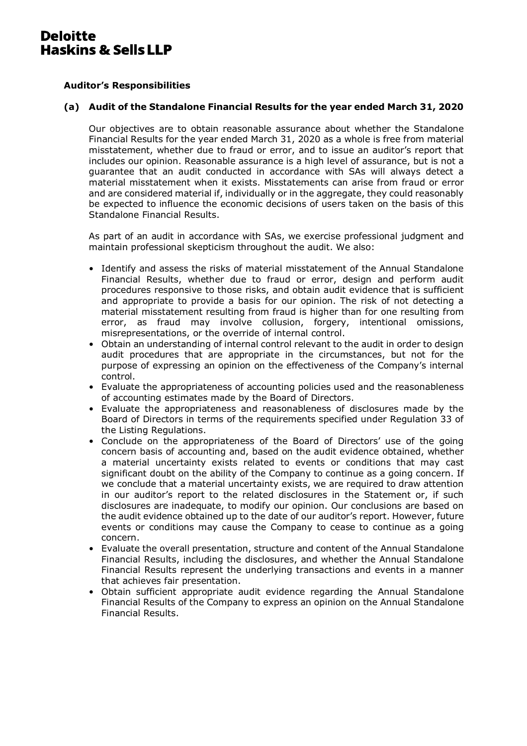# **Auditor's Responsibilities**

#### (a) Audit of the Standalone Financial Results for the year ended March 31, 2020

Our objectives are to obtain reasonable assurance about whether the Standalone Financial Results for the year ended March 31, 2020 as a whole is free from material misstatement, whether due to fraud or error, and to issue an auditor's report that includes our opinion. Reasonable assurance is a high level of assurance, but is not a quarantee that an audit conducted in accordance with SAs will always detect a material misstatement when it exists. Misstatements can arise from fraud or error and are considered material if, individually or in the aggregate, they could reasonably be expected to influence the economic decisions of users taken on the basis of this Standalone Financial Results.

As part of an audit in accordance with SAs, we exercise professional judgment and maintain professional skepticism throughout the audit. We also:

- Identify and assess the risks of material misstatement of the Annual Standalone Financial Results, whether due to fraud or error, design and perform audit procedures responsive to those risks, and obtain audit evidence that is sufficient and appropriate to provide a basis for our opinion. The risk of not detecting a material misstatement resulting from fraud is higher than for one resulting from error, as fraud may involve collusion, forgery, intentional omissions, misrepresentations, or the override of internal control.
- Obtain an understanding of internal control relevant to the audit in order to design audit procedures that are appropriate in the circumstances, but not for the purpose of expressing an opinion on the effectiveness of the Company's internal control.
- Evaluate the appropriateness of accounting policies used and the reasonableness of accounting estimates made by the Board of Directors.
- Evaluate the appropriateness and reasonableness of disclosures made by the Board of Directors in terms of the requirements specified under Regulation 33 of the Listing Regulations.
- Conclude on the appropriateness of the Board of Directors' use of the going concern basis of accounting and, based on the audit evidence obtained, whether a material uncertainty exists related to events or conditions that may cast significant doubt on the ability of the Company to continue as a going concern. If we conclude that a material uncertainty exists, we are required to draw attention in our auditor's report to the related disclosures in the Statement or, if such disclosures are inadequate, to modify our opinion. Our conclusions are based on the audit evidence obtained up to the date of our auditor's report. However, future events or conditions may cause the Company to cease to continue as a going concern.
- Evaluate the overall presentation, structure and content of the Annual Standalone Financial Results, including the disclosures, and whether the Annual Standalone Financial Results represent the underlying transactions and events in a manner that achieves fair presentation.
- Obtain sufficient appropriate audit evidence regarding the Annual Standalone Financial Results of the Company to express an opinion on the Annual Standalone Financial Results.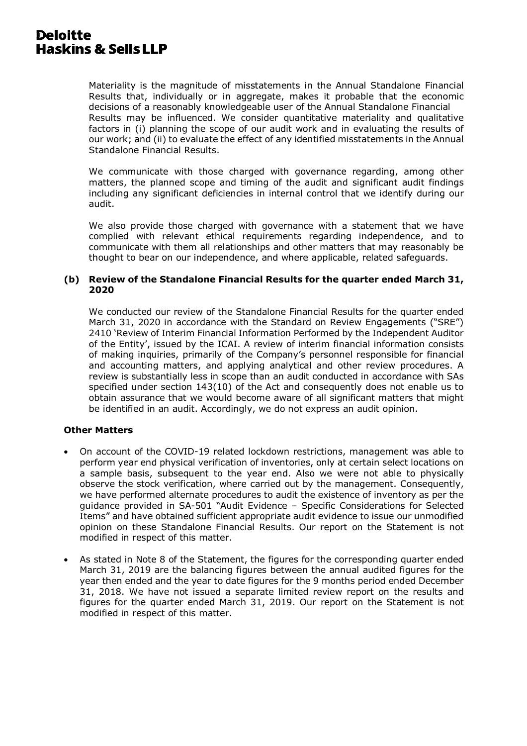Materiality is the magnitude of misstatements in the Annual Standalone Financial Results that, individually or in aggregate, makes it probable that the economic decisions of a reasonably knowledgeable user of the Annual Standalone Financial Results may be influenced. We consider quantitative materiality and qualitative factors in (i) planning the scope of our audit work and in evaluating the results of our work; and (ii) to evaluate the effect of any identified misstatements in the Annual Standalone Financial Results.

We communicate with those charged with governance regarding, among other matters, the planned scope and timing of the audit and significant audit findings including any significant deficiencies in internal control that we identify during our audit.

We also provide those charged with governance with a statement that we have complied with relevant ethical requirements regarding independence, and to communicate with them all relationships and other matters that may reasonably be thought to bear on our independence, and where applicable, related safequards.

## (b) Review of the Standalone Financial Results for the quarter ended March 31, 2020

We conducted our review of the Standalone Financial Results for the quarter ended March 31, 2020 in accordance with the Standard on Review Engagements ("SRE") 2410 'Review of Interim Financial Information Performed by the Independent Auditor of the Entity', issued by the ICAI. A review of interim financial information consists of making inguiries, primarily of the Company's personnel responsible for financial and accounting matters, and applying analytical and other review procedures. A review is substantially less in scope than an audit conducted in accordance with SAs specified under section 143(10) of the Act and consequently does not enable us to obtain assurance that we would become aware of all significant matters that might be identified in an audit. Accordingly, we do not express an audit opinion.

# **Other Matters**

- On account of the COVID-19 related lockdown restrictions, management was able to perform year end physical verification of inventories, only at certain select locations on a sample basis, subsequent to the year end. Also we were not able to physically observe the stock verification, where carried out by the management. Consequently, we have performed alternate procedures to audit the existence of inventory as per the guidance provided in SA-501 "Audit Evidence - Specific Considerations for Selected Items" and have obtained sufficient appropriate audit evidence to issue our unmodified opinion on these Standalone Financial Results. Our report on the Statement is not modified in respect of this matter.
- As stated in Note 8 of the Statement, the figures for the corresponding quarter ended March 31, 2019 are the balancing figures between the annual audited figures for the year then ended and the year to date figures for the 9 months period ended December 31, 2018. We have not issued a separate limited review report on the results and figures for the quarter ended March 31, 2019. Our report on the Statement is not modified in respect of this matter.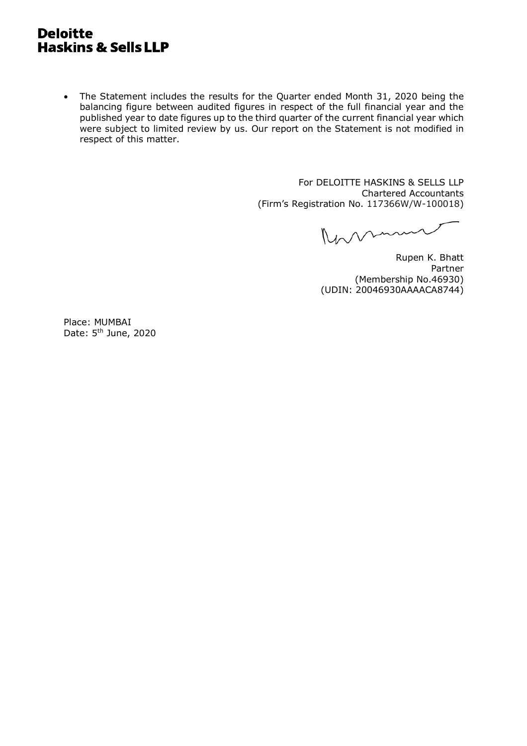• The Statement includes the results for the Quarter ended Month 31, 2020 being the balancing figure between audited figures in respect of the full financial year and the published year to date figures up to the third quarter of the current financial year which were subject to limited review by us. Our report on the Statement is not modified in respect of this matter.

> For DELOITTE HASKINS & SELLS LLP **Chartered Accountants** (Firm's Registration No. 117366W/W-100018)

Romm

Rupen K. Bhatt Partner (Membership No.46930) (UDIN: 20046930AAAACA8744)

Place: MUMBAI Date: 5<sup>th</sup> June, 2020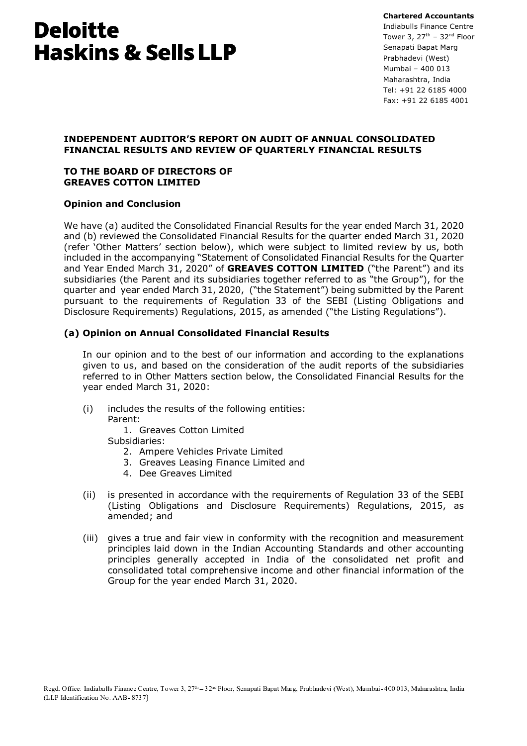**Chartered Accountants** Indiabulls Finance Centre Tower 3,  $27^{\text{th}}$  -  $32^{\text{nd}}$  Floor Senapati Bapat Marg Prabhadevi (West) Mumbai - 400 013 Maharashtra, India Tel: +91 22 6185 4000 Fax: +91 22 6185 4001

# **INDEPENDENT AUDITOR'S REPORT ON AUDIT OF ANNUAL CONSOLIDATED** FINANCIAL RESULTS AND REVIEW OF QUARTERLY FINANCIAL RESULTS

## TO THE BOARD OF DIRECTORS OF **GREAVES COTTON LIMITED**

# **Opinion and Conclusion**

We have (a) audited the Consolidated Financial Results for the year ended March 31, 2020 and (b) reviewed the Consolidated Financial Results for the quarter ended March 31, 2020 (refer 'Other Matters' section below), which were subject to limited review by us, both included in the accompanying "Statement of Consolidated Financial Results for the Quarter and Year Ended March 31, 2020" of GREAVES COTTON LIMITED ("the Parent") and its subsidiaries (the Parent and its subsidiaries together referred to as "the Group"), for the quarter and year ended March 31, 2020, ("the Statement") being submitted by the Parent pursuant to the requirements of Requlation 33 of the SEBI (Listing Obligations and Disclosure Requirements) Regulations, 2015, as amended ("the Listing Regulations").

# (a) Opinion on Annual Consolidated Financial Results

In our opinion and to the best of our information and according to the explanations given to us, and based on the consideration of the audit reports of the subsidiaries referred to in Other Matters section below, the Consolidated Financial Results for the year ended March 31, 2020:

includes the results of the following entities:  $(i)$ Parent:

> 1. Greaves Cotton Limited Subsidiaries:

- 2. Ampere Vehicles Private Limited
- 3. Greaves Leasing Finance Limited and
- 4 Dee Greaves Limited
- $(ii)$ is presented in accordance with the requirements of Regulation 33 of the SEBI (Listing Obligations and Disclosure Requirements) Regulations, 2015, as amended; and
- (iii) gives a true and fair view in conformity with the recognition and measurement principles laid down in the Indian Accounting Standards and other accounting principles generally accepted in India of the consolidated net profit and consolidated total comprehensive income and other financial information of the Group for the year ended March 31, 2020.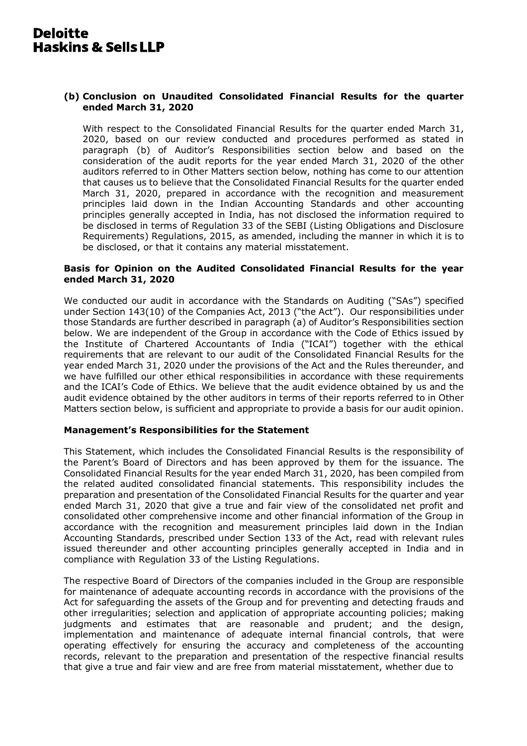## (b) Conclusion on Unaudited Consolidated Financial Results for the quarter ended March 31, 2020

With respect to the Consolidated Financial Results for the quarter ended March 31, 2020, based on our review conducted and procedures performed as stated in paragraph (b) of Auditor's Responsibilities section below and based on the consideration of the audit reports for the year ended March 31, 2020 of the other auditors referred to in Other Matters section below, nothing has come to our attention that causes us to believe that the Consolidated Financial Results for the quarter ended March 31, 2020, prepared in accordance with the recognition and measurement principles laid down in the Indian Accounting Standards and other accounting principles generally accepted in India, has not disclosed the information required to be disclosed in terms of Regulation 33 of the SEBI (Listing Obligations and Disclosure Requirements) Regulations, 2015, as amended, including the manner in which it is to be disclosed, or that it contains any material misstatement.

#### Basis for Opinion on the Audited Consolidated Financial Results for the vear ended March 31, 2020

We conducted our audit in accordance with the Standards on Auditing ("SAs") specified under Section 143(10) of the Companies Act, 2013 ("the Act"). Our responsibilities under those Standards are further described in paragraph (a) of Auditor's Responsibilities section below. We are independent of the Group in accordance with the Code of Ethics issued by the Institute of Chartered Accountants of India ("ICAI") together with the ethical requirements that are relevant to our audit of the Consolidated Financial Results for the year ended March 31, 2020 under the provisions of the Act and the Rules thereunder, and we have fulfilled our other ethical responsibilities in accordance with these requirements and the ICAI's Code of Ethics. We believe that the audit evidence obtained by us and the audit evidence obtained by the other auditors in terms of their reports referred to in Other Matters section below, is sufficient and appropriate to provide a basis for our audit opinion.

#### Management's Responsibilities for the Statement

This Statement, which includes the Consolidated Financial Results is the responsibility of the Parent's Board of Directors and has been approved by them for the issuance. The Consolidated Financial Results for the year ended March 31, 2020, has been compiled from the related audited consolidated financial statements. This responsibility includes the preparation and presentation of the Consolidated Financial Results for the quarter and year ended March 31, 2020 that give a true and fair view of the consolidated net profit and consolidated other comprehensive income and other financial information of the Group in accordance with the recognition and measurement principles laid down in the Indian Accounting Standards, prescribed under Section 133 of the Act, read with relevant rules issued thereunder and other accounting principles generally accepted in India and in compliance with Regulation 33 of the Listing Regulations.

The respective Board of Directors of the companies included in the Group are responsible for maintenance of adequate accounting records in accordance with the provisions of the Act for safeguarding the assets of the Group and for preventing and detecting frauds and other irregularities; selection and application of appropriate accounting policies; making judgments and estimates that are reasonable and prudent; and the design, implementation and maintenance of adequate internal financial controls, that were operating effectively for ensuring the accuracy and completeness of the accounting records, relevant to the preparation and presentation of the respective financial results that give a true and fair view and are free from material misstatement, whether due to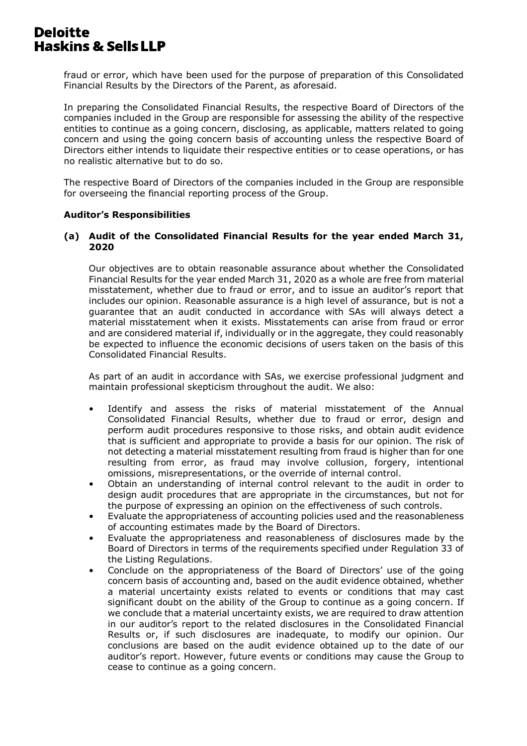fraud or error, which have been used for the purpose of preparation of this Consolidated Financial Results by the Directors of the Parent, as aforesaid.

In preparing the Consolidated Financial Results, the respective Board of Directors of the companies included in the Group are responsible for assessing the ability of the respective entities to continue as a going concern, disclosing, as applicable, matters related to going concern and using the going concern basis of accounting unless the respective Board of Directors either intends to liquidate their respective entities or to cease operations, or has no realistic alternative but to do so.

The respective Board of Directors of the companies included in the Group are responsible for overseeing the financial reporting process of the Group.

#### **Auditor's Responsibilities**

## (a) Audit of the Consolidated Financial Results for the year ended March 31, 2020

Our objectives are to obtain reasonable assurance about whether the Consolidated Financial Results for the year ended March 31, 2020 as a whole are free from material misstatement, whether due to fraud or error, and to issue an auditor's report that includes our opinion. Reasonable assurance is a high level of assurance, but is not a quarantee that an audit conducted in accordance with SAs will always detect a material misstatement when it exists. Misstatements can arise from fraud or error and are considered material if, individually or in the aggregate, they could reasonably be expected to influence the economic decisions of users taken on the basis of this Consolidated Financial Results.

As part of an audit in accordance with SAs, we exercise professional judgment and maintain professional skepticism throughout the audit. We also:

- Identify and assess the risks of material misstatement of the Annual Consolidated Financial Results, whether due to fraud or error, design and perform audit procedures responsive to those risks, and obtain audit evidence that is sufficient and appropriate to provide a basis for our opinion. The risk of not detecting a material misstatement resulting from fraud is higher than for one resulting from error, as fraud may involve collusion, forgery, intentional omissions, misrepresentations, or the override of internal control.
- Obtain an understanding of internal control relevant to the audit in order to design audit procedures that are appropriate in the circumstances, but not for the purpose of expressing an opinion on the effectiveness of such controls.
- Evaluate the appropriateness of accounting policies used and the reasonableness of accounting estimates made by the Board of Directors.
- Evaluate the appropriateness and reasonableness of disclosures made by the Board of Directors in terms of the requirements specified under Requlation 33 of the Listing Regulations.
- Conclude on the appropriateness of the Board of Directors' use of the going concern basis of accounting and, based on the audit evidence obtained, whether a material uncertainty exists related to events or conditions that may cast significant doubt on the ability of the Group to continue as a going concern. If we conclude that a material uncertainty exists, we are required to draw attention in our auditor's report to the related disclosures in the Consolidated Financial Results or, if such disclosures are inadequate, to modify our opinion. Our conclusions are based on the audit evidence obtained up to the date of our auditor's report. However, future events or conditions may cause the Group to cease to continue as a going concern.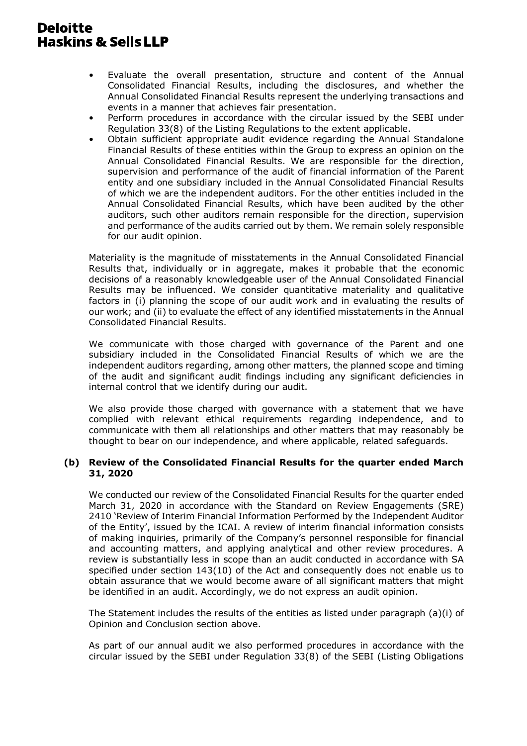- Evaluate the overall presentation, structure and content of the Annual Consolidated Financial Results, including the disclosures, and whether the Annual Consolidated Financial Results represent the underlying transactions and events in a manner that achieves fair presentation.
- Perform procedures in accordance with the circular issued by the SEBI under Regulation 33(8) of the Listing Regulations to the extent applicable.
- Obtain sufficient appropriate audit evidence regarding the Annual Standalone Financial Results of these entities within the Group to express an opinion on the Annual Consolidated Financial Results. We are responsible for the direction, supervision and performance of the audit of financial information of the Parent entity and one subsidiary included in the Annual Consolidated Financial Results of which we are the independent auditors. For the other entities included in the Annual Consolidated Financial Results, which have been audited by the other auditors, such other auditors remain responsible for the direction, supervision and performance of the audits carried out by them. We remain solely responsible for our audit opinion.

Materiality is the magnitude of misstatements in the Annual Consolidated Financial Results that, individually or in aggregate, makes it probable that the economic decisions of a reasonably knowledgeable user of the Annual Consolidated Financial Results may be influenced. We consider quantitative materiality and qualitative factors in (i) planning the scope of our audit work and in evaluating the results of our work; and (ii) to evaluate the effect of any identified misstatements in the Annual Consolidated Financial Results.

We communicate with those charged with governance of the Parent and one subsidiary included in the Consolidated Financial Results of which we are the independent auditors regarding, among other matters, the planned scope and timing of the audit and significant audit findings including any significant deficiencies in internal control that we identify during our audit.

We also provide those charged with governance with a statement that we have complied with relevant ethical requirements regarding independence, and to communicate with them all relationships and other matters that may reasonably be thought to bear on our independence, and where applicable, related safeguards.

## (b) Review of the Consolidated Financial Results for the quarter ended March 31, 2020

We conducted our review of the Consolidated Financial Results for the quarter ended March 31, 2020 in accordance with the Standard on Review Engagements (SRE) 2410 'Review of Interim Financial Information Performed by the Independent Auditor of the Entity', issued by the ICAI. A review of interim financial information consists of making inquiries, primarily of the Company's personnel responsible for financial and accounting matters, and applying analytical and other review procedures. A review is substantially less in scope than an audit conducted in accordance with SA specified under section 143(10) of the Act and consequently does not enable us to obtain assurance that we would become aware of all significant matters that might be identified in an audit. Accordingly, we do not express an audit opinion.

The Statement includes the results of the entities as listed under paragraph (a)(i) of Opinion and Conclusion section above.

As part of our annual audit we also performed procedures in accordance with the circular issued by the SEBI under Regulation 33(8) of the SEBI (Listing Obligations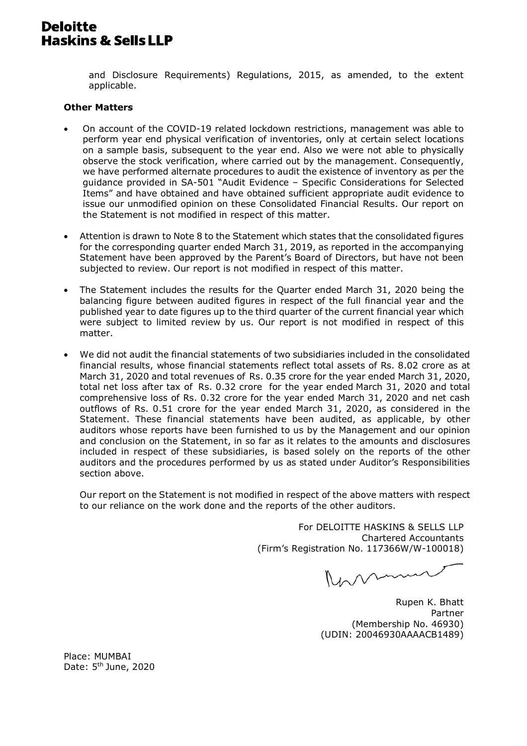and Disclosure Requirements) Requlations, 2015, as amended, to the extent applicable.

#### **Other Matters**

- On account of the COVID-19 related lockdown restrictions, management was able to perform year end physical verification of inventories, only at certain select locations on a sample basis, subsequent to the year end. Also we were not able to physically observe the stock verification, where carried out by the management. Consequently, we have performed alternate procedures to audit the existence of inventory as per the quidance provided in SA-501 "Audit Evidence - Specific Considerations for Selected Items" and have obtained and have obtained sufficient appropriate audit evidence to issue our unmodified opinion on these Consolidated Financial Results, Our report on the Statement is not modified in respect of this matter.
- Attention is drawn to Note 8 to the Statement which states that the consolidated figures for the corresponding quarter ended March 31, 2019, as reported in the accompanying Statement have been approved by the Parent's Board of Directors, but have not been subjected to review. Our report is not modified in respect of this matter.
- The Statement includes the results for the Quarter ended March 31, 2020 being the balancing figure between audited figures in respect of the full financial year and the published year to date figures up to the third quarter of the current financial year which were subject to limited review by us. Our report is not modified in respect of this matter.
- We did not audit the financial statements of two subsidiaries included in the consolidated financial results, whose financial statements reflect total assets of Rs, 8.02 crore as at March 31, 2020 and total revenues of Rs. 0.35 crore for the year ended March 31, 2020, total net loss after tax of Rs. 0.32 crore for the year ended March 31, 2020 and total comprehensive loss of Rs. 0.32 crore for the year ended March 31, 2020 and net cash outflows of Rs. 0.51 crore for the year ended March 31, 2020, as considered in the Statement. These financial statements have been audited, as applicable, by other auditors whose reports have been furnished to us by the Management and our opinion and conclusion on the Statement, in so far as it relates to the amounts and disclosures included in respect of these subsidiaries, is based solely on the reports of the other auditors and the procedures performed by us as stated under Auditor's Responsibilities section above

Our report on the Statement is not modified in respect of the above matters with respect to our reliance on the work done and the reports of the other auditors.

> For DELOITTE HASKINS & SELLS LLP **Chartered Accountants** (Firm's Registration No. 117366W/W-100018)

Roman

Rupen K. Bhatt Partner (Membership No. 46930) (UDIN: 20046930AAAACB1489)

Place: MUMBAI Date: 5<sup>th</sup> June, 2020